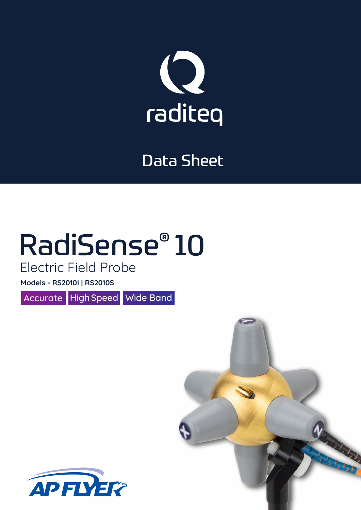

### Data Sheet

# RadiSense® 10

Electric Field Probe

**Models - RS2010I | RS2010S**

Accurate High Speed Wide Band

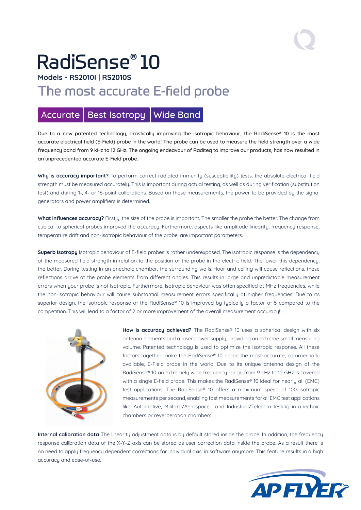## RadiSense® 10

**Models - RS2010I | RS2010S**

### The most accurate E-field probe

#### Accurate | Best Isotropy | Wide Band

Due to a new patented technology, drastically improving the isotropic behaviour, the RadiSense® 10 is the most accurate electrical field (E-Field) probe in the world! The probe can be used to measure the field strength over a wide frequency band from 9 kHz to 12 GHz. The ongoing endeavour of Raditeq to improve our products, has now resulted in an unprecedented accurate E-Field probe.

Why is accuracy important? To perform correct radiated immunity (susceptibility) tests, the absolute electrical field strength must be measured accurately. This is important during actual testing, as well as during verification (substitution test) and during 1-, 4- or 16-point calibrations. Based on these measurements, the power to be provided by the signal generators and power amplifiers is determined.

**What influences accuracy?** Firstly, the size of the probe is important. The smaller the probe the better. The change from cubical to spherical probes improved the accuracy. Furthermore, aspects like amplitude linearity, frequency response, temperature drift and non-isotropic behaviour of the probe, are important parameters.

**Superb Isotropy** Isotropic behaviour of E-field probes is rather underexposed. The isotropic response is the dependency of the measured field strength in relation to the position of the probe in the electric field. The lower this dependency, the better. During testing in an anechoic chamber, the surrounding walls, floor and ceiling will cause reflections. these reflections arrive at the probe elements from different angles. This results in large and unpredictable measurement errors when your probe is not isotropic. Furthermore, isotropic behaviour was often specified at MHz frequencies, while the non-isotropic behaviour will cause substantial measurement errors specifically at higher frequencies. Due to its superior design, the isotropic response of the RadiSense® 10 is improved by typically a factor of 5 compared to the competition. This will lead to a factor of 2 or more improvement of the overall measurement accuracy!



**How is accuracy achieved?** The RadiSense® 10 uses a spherical design with six antenna elements and a laser power supply, providing an extreme small measuring volume. Patented technology is used to optimize the isotropic response. All these factors together make the RadiSense® 10 probe the most accurate, commercially available, E-Field probe in the world. Due to its unique antenna design of the RadiSense® 10 an extremely wide frequency range from 9 kHz to 12 GHz is covered with a single E-field probe. This makes the RadiSense® 10 ideal for nearly all (EMC) test applications. The RadiSense® 10 offers a maximum speed of 100 isotropic measurements per second, enabling fast measurements for all EMC test applications like: Automotive, Military/Aerospace, and Industrial/Telecom testing in anechoic chambers or reverberation chambers.

**Internal calibration data** The linearity adjustment data is by default stored inside the probe. In addition, the frequency response calibration data of the X-Y-Z axis can be stored as user correction data inside the probe. As a result there is no need to apply frequency dependent corrections for individual axis' in software anymore. This feature results in a high accuracy and ease-of-use.